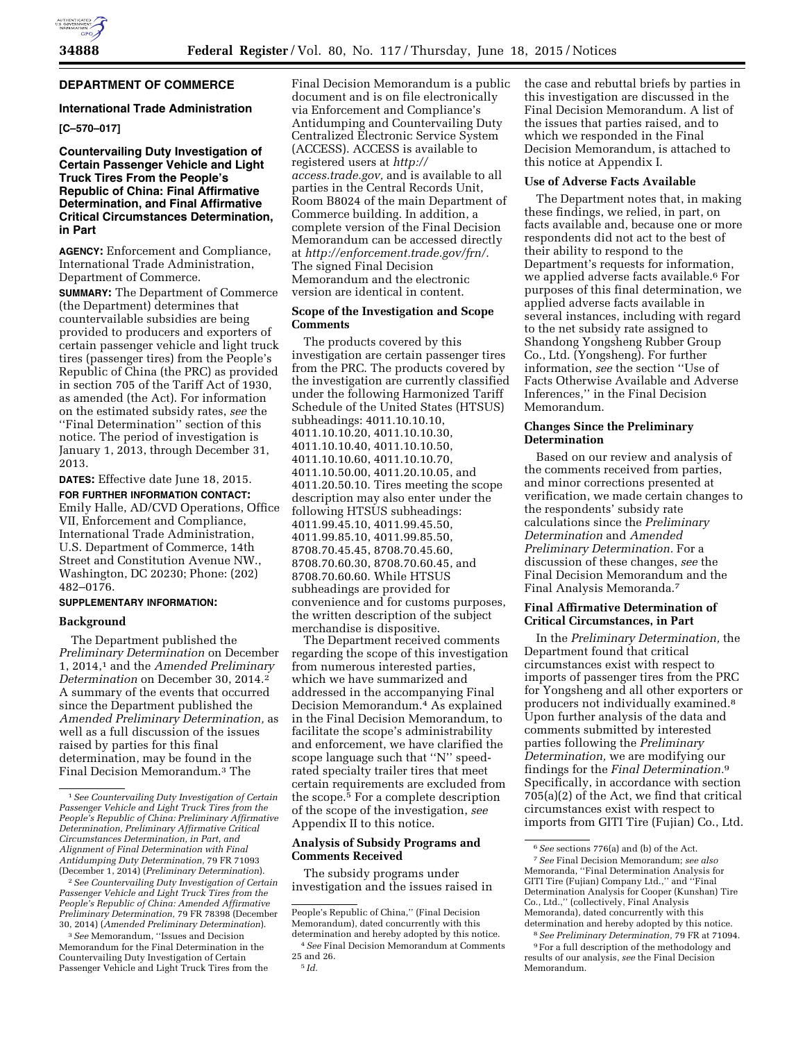# **DEPARTMENT OF COMMERCE**

#### **International Trade Administration**

## **[C–570–017]**

## **Countervailing Duty Investigation of Certain Passenger Vehicle and Light Truck Tires From the People's Republic of China: Final Affirmative Determination, and Final Affirmative Critical Circumstances Determination, in Part**

**AGENCY:** Enforcement and Compliance, International Trade Administration, Department of Commerce.

**SUMMARY:** The Department of Commerce (the Department) determines that countervailable subsidies are being provided to producers and exporters of certain passenger vehicle and light truck tires (passenger tires) from the People's Republic of China (the PRC) as provided in section 705 of the Tariff Act of 1930, as amended (the Act). For information on the estimated subsidy rates, *see* the ''Final Determination'' section of this notice. The period of investigation is January 1, 2013, through December 31, 2013.

**DATES:** Effective date June 18, 2015.

**FOR FURTHER INFORMATION CONTACT:**  Emily Halle, AD/CVD Operations, Office VII, Enforcement and Compliance, International Trade Administration, U.S. Department of Commerce, 14th Street and Constitution Avenue NW., Washington, DC 20230; Phone: (202) 482–0176.

### **SUPPLEMENTARY INFORMATION:**

#### **Background**

The Department published the *Preliminary Determination* on December 1, 2014,1 and the *Amended Preliminary Determination* on December 30, 2014.2 A summary of the events that occurred since the Department published the *Amended Preliminary Determination,* as well as a full discussion of the issues raised by parties for this final determination, may be found in the Final Decision Memorandum.3 The

2*See Countervailing Duty Investigation of Certain Passenger Vehicle and Light Truck Tires from the People's Republic of China: Amended Affirmative Preliminary Determination,* 79 FR 78398 (December 30, 2014) (*Amended Preliminary Determination*).

3*See* Memorandum, ''Issues and Decision Memorandum for the Final Determination in the Countervailing Duty Investigation of Certain Passenger Vehicle and Light Truck Tires from the

Final Decision Memorandum is a public document and is on file electronically via Enforcement and Compliance's Antidumping and Countervailing Duty Centralized Electronic Service System (ACCESS). ACCESS is available to registered users at *[http://](http://access.trade.gov) [access.trade.gov,](http://access.trade.gov)* and is available to all parties in the Central Records Unit, Room B8024 of the main Department of Commerce building. In addition, a complete version of the Final Decision Memorandum can be accessed directly at *[http://enforcement.trade.gov/frn/.](http://enforcement.trade.gov/frn/)*  The signed Final Decision Memorandum and the electronic version are identical in content.

#### **Scope of the Investigation and Scope Comments**

The products covered by this investigation are certain passenger tires from the PRC. The products covered by the investigation are currently classified under the following Harmonized Tariff Schedule of the United States (HTSUS) subheadings: 4011.10.10.10, 4011.10.10.20, 4011.10.10.30, 4011.10.10.40, 4011.10.10.50, 4011.10.10.60, 4011.10.10.70, 4011.10.50.00, 4011.20.10.05, and 4011.20.50.10. Tires meeting the scope description may also enter under the following HTSUS subheadings: 4011.99.45.10, 4011.99.45.50, 4011.99.85.10, 4011.99.85.50, 8708.70.45.45, 8708.70.45.60, 8708.70.60.30, 8708.70.60.45, and 8708.70.60.60. While HTSUS subheadings are provided for convenience and for customs purposes, the written description of the subject merchandise is dispositive.

The Department received comments regarding the scope of this investigation from numerous interested parties, which we have summarized and addressed in the accompanying Final Decision Memorandum.4 As explained in the Final Decision Memorandum, to facilitate the scope's administrability and enforcement, we have clarified the scope language such that ''N'' speedrated specialty trailer tires that meet certain requirements are excluded from the scope.5 For a complete description of the scope of the investigation, *see*  Appendix II to this notice.

#### **Analysis of Subsidy Programs and Comments Received**

The subsidy programs under investigation and the issues raised in

People's Republic of China,'' (Final Decision Memorandum), dated concurrently with this determination and hereby adopted by this notice. the case and rebuttal briefs by parties in this investigation are discussed in the Final Decision Memorandum. A list of the issues that parties raised, and to which we responded in the Final Decision Memorandum, is attached to this notice at Appendix I.

#### **Use of Adverse Facts Available**

The Department notes that, in making these findings, we relied, in part, on facts available and, because one or more respondents did not act to the best of their ability to respond to the Department's requests for information, we applied adverse facts available.6 For purposes of this final determination, we applied adverse facts available in several instances, including with regard to the net subsidy rate assigned to Shandong Yongsheng Rubber Group Co., Ltd. (Yongsheng). For further information, *see* the section ''Use of Facts Otherwise Available and Adverse Inferences,'' in the Final Decision Memorandum.

#### **Changes Since the Preliminary Determination**

Based on our review and analysis of the comments received from parties, and minor corrections presented at verification, we made certain changes to the respondents' subsidy rate calculations since the *Preliminary Determination* and *Amended Preliminary Determination.* For a discussion of these changes, *see* the Final Decision Memorandum and the Final Analysis Memoranda.7

# **Final Affirmative Determination of Critical Circumstances, in Part**

In the *Preliminary Determination,* the Department found that critical circumstances exist with respect to imports of passenger tires from the PRC for Yongsheng and all other exporters or producers not individually examined.8 Upon further analysis of the data and comments submitted by interested parties following the *Preliminary Determination,* we are modifying our findings for the *Final Determination.*9 Specifically, in accordance with section 705(a)(2) of the Act, we find that critical circumstances exist with respect to imports from GITI Tire (Fujian) Co., Ltd.

8*See Preliminary Determination,* 79 FR at 71094.

9For a full description of the methodology and results of our analysis, *see* the Final Decision Memorandum.

<sup>1</sup>*See Countervailing Duty Investigation of Certain Passenger Vehicle and Light Truck Tires from the People's Republic of China: Preliminary Affirmative Determination, Preliminary Affirmative Critical Circumstances Determination, in Part, and Alignment of Final Determination with Final Antidumping Duty Determination,* 79 FR 71093 (December 1, 2014) (*Preliminary Determination*).

<sup>4</sup>*See* Final Decision Memorandum at Comments 25 and 26. 5 *Id.* 

<sup>6</sup>*See* sections 776(a) and (b) of the Act.

<sup>7</sup>*See* Final Decision Memorandum; *see also*  Memoranda, ''Final Determination Analysis for GITI Tire (Fujian) Company Ltd.,'' and ''Final Determination Analysis for Cooper (Kunshan) Tire Co., Ltd.,'' (collectively, Final Analysis Memoranda), dated concurrently with this determination and hereby adopted by this notice.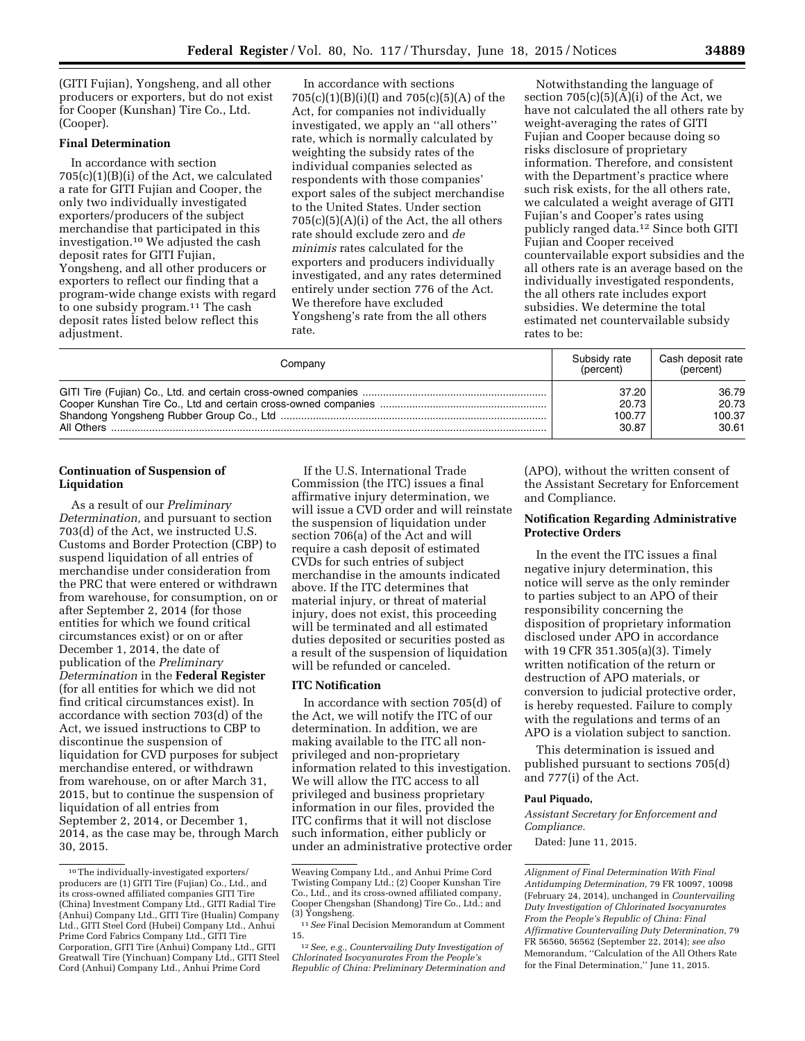(GITI Fujian), Yongsheng, and all other producers or exporters, but do not exist for Cooper (Kunshan) Tire Co., Ltd. (Cooper).

# **Final Determination**

In accordance with section 705(c)(1)(B)(i) of the Act, we calculated a rate for GITI Fujian and Cooper, the only two individually investigated exporters/producers of the subject merchandise that participated in this investigation.10 We adjusted the cash deposit rates for GITI Fujian, Yongsheng, and all other producers or exporters to reflect our finding that a program-wide change exists with regard to one subsidy program.<sup>11</sup> The cash deposit rates listed below reflect this adjustment.

In accordance with sections 705(c)(1)(B)(i)(I) and 705(c)(5)(A) of the Act, for companies not individually investigated, we apply an ''all others'' rate, which is normally calculated by weighting the subsidy rates of the individual companies selected as respondents with those companies' export sales of the subject merchandise to the United States. Under section  $705(c)(5)(A)(i)$  of the Act, the all others rate should exclude zero and *de minimis* rates calculated for the exporters and producers individually investigated, and any rates determined entirely under section 776 of the Act. We therefore have excluded Yongsheng's rate from the all others rate.

Notwithstanding the language of section  $705(c)(5)(A)(i)$  of the Act, we have not calculated the all others rate by weight-averaging the rates of GITI Fujian and Cooper because doing so risks disclosure of proprietary information. Therefore, and consistent with the Department's practice where such risk exists, for the all others rate, we calculated a weight average of GITI Fujian's and Cooper's rates using publicly ranged data.12 Since both GITI Fujian and Cooper received countervailable export subsidies and the all others rate is an average based on the individually investigated respondents, the all others rate includes export subsidies. We determine the total estimated net countervailable subsidy rates to be:

| Company | Subsidy rate<br>(percent) | Cash deposit rate<br>(percent) |
|---------|---------------------------|--------------------------------|
|         | 37.20                     | 36.79                          |
|         | 20.73                     | 20.73                          |
|         | 100.77                    | 100.37                         |
|         | 30.87                     | 30.61                          |

#### **Continuation of Suspension of Liquidation**

As a result of our *Preliminary Determination,* and pursuant to section 703(d) of the Act, we instructed U.S. Customs and Border Protection (CBP) to suspend liquidation of all entries of merchandise under consideration from the PRC that were entered or withdrawn from warehouse, for consumption, on or after September 2, 2014 (for those entities for which we found critical circumstances exist) or on or after December 1, 2014, the date of publication of the *Preliminary Determination* in the **Federal Register**  (for all entities for which we did not find critical circumstances exist). In accordance with section 703(d) of the Act, we issued instructions to CBP to discontinue the suspension of liquidation for CVD purposes for subject merchandise entered, or withdrawn from warehouse, on or after March 31, 2015, but to continue the suspension of liquidation of all entries from September 2, 2014, or December 1, 2014, as the case may be, through March 30, 2015.

If the U.S. International Trade Commission (the ITC) issues a final affirmative injury determination, we will issue a CVD order and will reinstate the suspension of liquidation under section 706(a) of the Act and will require a cash deposit of estimated CVDs for such entries of subject merchandise in the amounts indicated above. If the ITC determines that material injury, or threat of material injury, does not exist, this proceeding will be terminated and all estimated duties deposited or securities posted as a result of the suspension of liquidation will be refunded or canceled.

### **ITC Notification**

In accordance with section 705(d) of the Act, we will notify the ITC of our determination. In addition, we are making available to the ITC all nonprivileged and non-proprietary information related to this investigation. We will allow the ITC access to all privileged and business proprietary information in our files, provided the ITC confirms that it will not disclose such information, either publicly or under an administrative protective order (APO), without the written consent of the Assistant Secretary for Enforcement and Compliance.

## **Notification Regarding Administrative Protective Orders**

In the event the ITC issues a final negative injury determination, this notice will serve as the only reminder to parties subject to an APO of their responsibility concerning the disposition of proprietary information disclosed under APO in accordance with 19 CFR 351.305(a)(3). Timely written notification of the return or destruction of APO materials, or conversion to judicial protective order, is hereby requested. Failure to comply with the regulations and terms of an APO is a violation subject to sanction.

This determination is issued and published pursuant to sections 705(d) and 777(i) of the Act.

#### **Paul Piquado,**

*Assistant Secretary for Enforcement and Compliance.* 

Dated: June 11, 2015.

<sup>10</sup>The individually-investigated exporters/ producers are (1) GITI Tire (Fujian) Co., Ltd., and its cross-owned affiliated companies GITI Tire (China) Investment Company Ltd., GITI Radial Tire (Anhui) Company Ltd., GITI Tire (Hualin) Company Ltd., GITI Steel Cord (Hubei) Company Ltd., Anhui Prime Cord Fabrics Company Ltd., GITI Tire Corporation, GITI Tire (Anhui) Company Ltd., GITI Greatwall Tire (Yinchuan) Company Ltd., GITI Steel Cord (Anhui) Company Ltd., Anhui Prime Cord

Weaving Company Ltd., and Anhui Prime Cord Twisting Company Ltd.; (2) Cooper Kunshan Tire Co., Ltd., and its cross-owned affiliated company, Cooper Chengshan (Shandong) Tire Co., Ltd.; and (3) Yongsheng.

<sup>11</sup>*See* Final Decision Memorandum at Comment 15.

<sup>12</sup>*See, e.g., Countervailing Duty Investigation of Chlorinated Isocyanurates From the People's Republic of China: Preliminary Determination and* 

*Alignment of Final Determination With Final Antidumping Determination,* 79 FR 10097, 10098 (February 24, 2014), unchanged in *Countervailing Duty Investigation of Chlorinated Isocyanurates From the People's Republic of China: Final Affirmative Countervailing Duty Determination,* 79 FR 56560, 56562 (September 22, 2014); *see also*  Memorandum, ''Calculation of the All Others Rate for the Final Determination,'' June 11, 2015.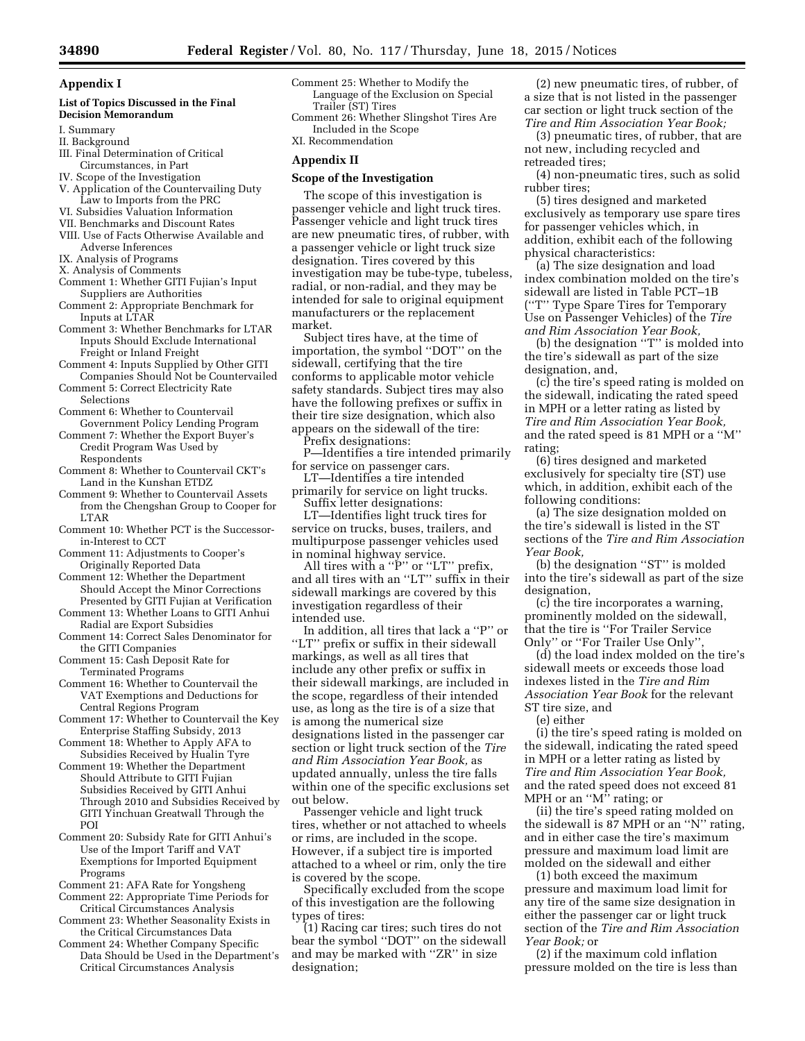# **Appendix I**

#### **List of Topics Discussed in the Final Decision Memorandum**

- I. Summary
- II. Background
- III. Final Determination of Critical Circumstances, in Part
- IV. Scope of the Investigation
- V. Application of the Countervailing Duty Law to Imports from the PRC
- VI. Subsidies Valuation Information
- VII. Benchmarks and Discount Rates
- VIII. Use of Facts Otherwise Available and Adverse Inferences
- IX. Analysis of Programs
- X. Analysis of Comments
- Comment 1: Whether GITI Fujian's Input Suppliers are Authorities
- Comment 2: Appropriate Benchmark for Inputs at LTAR
- Comment 3: Whether Benchmarks for LTAR Inputs Should Exclude International Freight or Inland Freight
- Comment 4: Inputs Supplied by Other GITI Companies Should Not be Countervailed
- Comment 5: Correct Electricity Rate Selections
- Comment 6: Whether to Countervail Government Policy Lending Program
- Comment 7: Whether the Export Buyer's Credit Program Was Used by Respondents
- Comment 8: Whether to Countervail CKT's Land in the Kunshan ETDZ
- Comment 9: Whether to Countervail Assets from the Chengshan Group to Cooper for LTAR
- Comment 10: Whether PCT is the Successorin-Interest to CCT
- Comment 11: Adjustments to Cooper's Originally Reported Data
- Comment 12: Whether the Department Should Accept the Minor Corrections Presented by GITI Fujian at Verification
- Comment 13: Whether Loans to GITI Anhui Radial are Export Subsidies
- Comment 14: Correct Sales Denominator for the GITI Companies
- Comment 15: Cash Deposit Rate for Terminated Programs
- Comment 16: Whether to Countervail the VAT Exemptions and Deductions for Central Regions Program
- Comment 17: Whether to Countervail the Key Enterprise Staffing Subsidy, 2013
- Comment 18: Whether to Apply AFA to Subsidies Received by Hualin Tyre
- Comment 19: Whether the Department Should Attribute to GITI Fujian Subsidies Received by GITI Anhui Through 2010 and Subsidies Received by GITI Yinchuan Greatwall Through the POI
- Comment 20: Subsidy Rate for GITI Anhui's Use of the Import Tariff and VAT Exemptions for Imported Equipment Programs
- Comment 21: AFA Rate for Yongsheng Comment 22: Appropriate Time Periods for
- Critical Circumstances Analysis Comment 23: Whether Seasonality Exists in
- the Critical Circumstances Data
- Comment 24: Whether Company Specific Data Should be Used in the Department's Critical Circumstances Analysis

Comment 25: Whether to Modify the Language of the Exclusion on Special Trailer (ST) Tires Comment 26: Whether Slingshot Tires Are

Included in the Scope XI. Recommendation

# **Appendix II**

# **Scope of the Investigation**

The scope of this investigation is passenger vehicle and light truck tires. Passenger vehicle and light truck tires are new pneumatic tires, of rubber, with a passenger vehicle or light truck size designation. Tires covered by this investigation may be tube-type, tubeless, radial, or non-radial, and they may be intended for sale to original equipment manufacturers or the replacement market.

Subject tires have, at the time of importation, the symbol ''DOT'' on the sidewall, certifying that the tire conforms to applicable motor vehicle safety standards. Subject tires may also have the following prefixes or suffix in their tire size designation, which also appears on the sidewall of the tire:

Prefix designations:

P—Identifies a tire intended primarily for service on passenger cars.

LT—Identifies a tire intended primarily for service on light trucks.

Suffix letter designations: LT—Identifies light truck tires for service on trucks, buses, trailers, and

multipurpose passenger vehicles used in nominal highway service. All tires with a "P" or "LT" prefix, and all tires with an ''LT'' suffix in their

sidewall markings are covered by this investigation regardless of their intended use.

In addition, all tires that lack a ''P'' or "LT" prefix or suffix in their sidewall markings, as well as all tires that include any other prefix or suffix in their sidewall markings, are included in the scope, regardless of their intended use, as long as the tire is of a size that is among the numerical size designations listed in the passenger car section or light truck section of the *Tire and Rim Association Year Book,* as updated annually, unless the tire falls within one of the specific exclusions set out below.

Passenger vehicle and light truck tires, whether or not attached to wheels or rims, are included in the scope. However, if a subject tire is imported attached to a wheel or rim, only the tire is covered by the scope.

Specifically excluded from the scope of this investigation are the following types of tires:

(1) Racing car tires; such tires do not bear the symbol ''DOT'' on the sidewall and may be marked with ''ZR'' in size designation;

(2) new pneumatic tires, of rubber, of a size that is not listed in the passenger car section or light truck section of the *Tire and Rim Association Year Book;* 

(3) pneumatic tires, of rubber, that are not new, including recycled and retreaded tires;

(4) non-pneumatic tires, such as solid rubber tires;

(5) tires designed and marketed exclusively as temporary use spare tires for passenger vehicles which, in addition, exhibit each of the following physical characteristics:

(a) The size designation and load index combination molded on the tire's sidewall are listed in Table PCT–1B (''T'' Type Spare Tires for Temporary Use on Passenger Vehicles) of the *Tire and Rim Association Year Book,* 

(b) the designation ''T'' is molded into the tire's sidewall as part of the size designation, and,

(c) the tire's speed rating is molded on the sidewall, indicating the rated speed in MPH or a letter rating as listed by *Tire and Rim Association Year Book,*  and the rated speed is 81 MPH or a ''M'' rating;

(6) tires designed and marketed exclusively for specialty tire (ST) use which, in addition, exhibit each of the following conditions:

(a) The size designation molded on the tire's sidewall is listed in the ST sections of the *Tire and Rim Association Year Book,* 

(b) the designation ''ST'' is molded into the tire's sidewall as part of the size designation,

 $(c)$  the tire incorporates a warning. prominently molded on the sidewall, that the tire is ''For Trailer Service Only'' or ''For Trailer Use Only'',

(d) the load index molded on the tire's sidewall meets or exceeds those load indexes listed in the *Tire and Rim Association Year Book* for the relevant ST tire size, and

(e) either

(i) the tire's speed rating is molded on the sidewall, indicating the rated speed in MPH or a letter rating as listed by *Tire and Rim Association Year Book,*  and the rated speed does not exceed 81 MPH or an ''M'' rating; or

(ii) the tire's speed rating molded on the sidewall is 87 MPH or an ''N'' rating, and in either case the tire's maximum pressure and maximum load limit are molded on the sidewall and either

(1) both exceed the maximum pressure and maximum load limit for any tire of the same size designation in either the passenger car or light truck section of the *Tire and Rim Association Year Book;* or

(2) if the maximum cold inflation pressure molded on the tire is less than